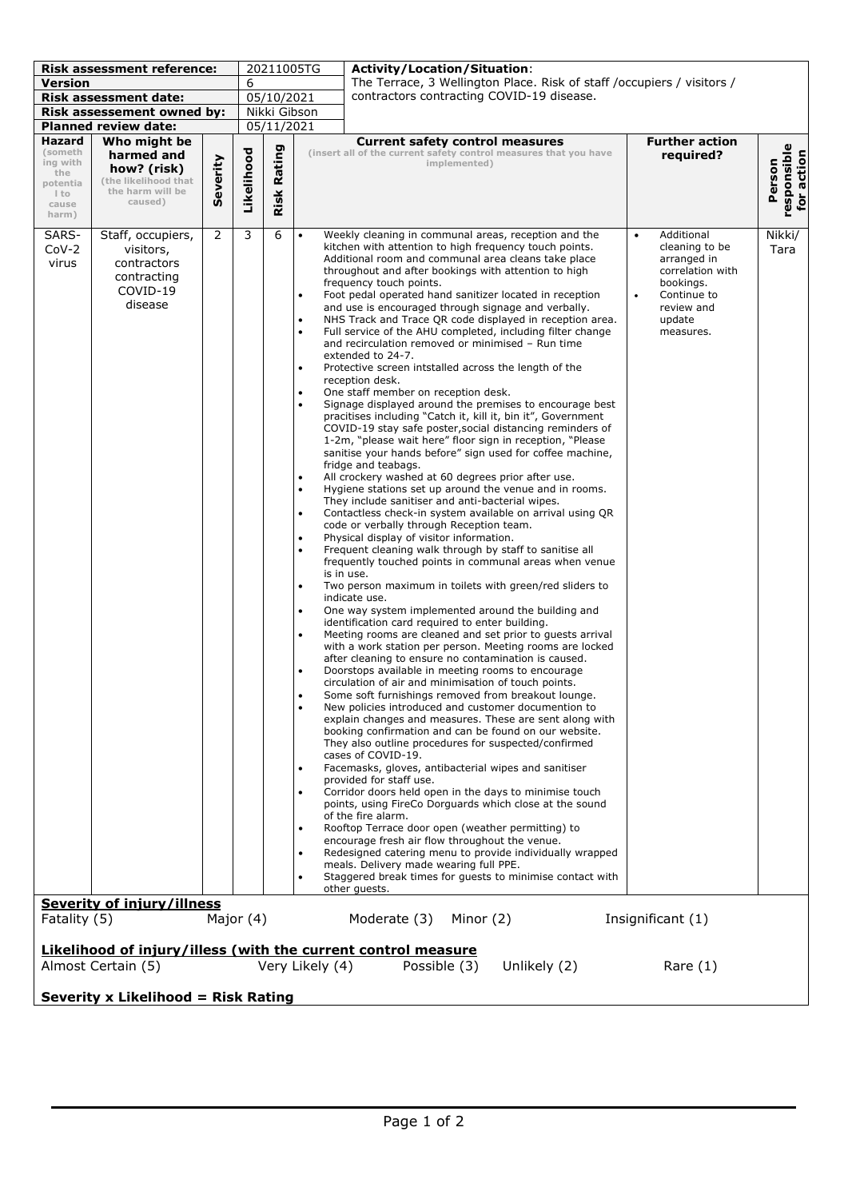| <b>Risk assessment reference:</b>                                                                                                                    |                                                                                                                          |                | 20211005TG   |            | <b>Activity/Location/Situation:</b>                                                                                                                                                                                                                                                                                                                                                                                                                                                                                                                                                                                                                                                                                                                                                                                                                                                                                                                                                                                                                                                                                                                                                                                                                                                                                                                                                                                                                                                                                                                                                                                                                                                                                                                                                                                                                                                                                                                                                                                                                                                                                                                                                                                                                                                                                                                                                                                                                                                                                                                                                                                                                                                                                                                                                                                                                                                                                                                                                                                                                                                                                                                                                                                                                                                    |  |  |
|------------------------------------------------------------------------------------------------------------------------------------------------------|--------------------------------------------------------------------------------------------------------------------------|----------------|--------------|------------|----------------------------------------------------------------------------------------------------------------------------------------------------------------------------------------------------------------------------------------------------------------------------------------------------------------------------------------------------------------------------------------------------------------------------------------------------------------------------------------------------------------------------------------------------------------------------------------------------------------------------------------------------------------------------------------------------------------------------------------------------------------------------------------------------------------------------------------------------------------------------------------------------------------------------------------------------------------------------------------------------------------------------------------------------------------------------------------------------------------------------------------------------------------------------------------------------------------------------------------------------------------------------------------------------------------------------------------------------------------------------------------------------------------------------------------------------------------------------------------------------------------------------------------------------------------------------------------------------------------------------------------------------------------------------------------------------------------------------------------------------------------------------------------------------------------------------------------------------------------------------------------------------------------------------------------------------------------------------------------------------------------------------------------------------------------------------------------------------------------------------------------------------------------------------------------------------------------------------------------------------------------------------------------------------------------------------------------------------------------------------------------------------------------------------------------------------------------------------------------------------------------------------------------------------------------------------------------------------------------------------------------------------------------------------------------------------------------------------------------------------------------------------------------------------------------------------------------------------------------------------------------------------------------------------------------------------------------------------------------------------------------------------------------------------------------------------------------------------------------------------------------------------------------------------------------------------------------------------------------------------------------------------------------|--|--|
| <b>Version</b>                                                                                                                                       |                                                                                                                          |                | 6            |            | The Terrace, 3 Wellington Place. Risk of staff /occupiers / visitors /                                                                                                                                                                                                                                                                                                                                                                                                                                                                                                                                                                                                                                                                                                                                                                                                                                                                                                                                                                                                                                                                                                                                                                                                                                                                                                                                                                                                                                                                                                                                                                                                                                                                                                                                                                                                                                                                                                                                                                                                                                                                                                                                                                                                                                                                                                                                                                                                                                                                                                                                                                                                                                                                                                                                                                                                                                                                                                                                                                                                                                                                                                                                                                                                                 |  |  |
| <b>Risk assessment date:</b>                                                                                                                         |                                                                                                                          |                | 05/10/2021   |            | contractors contracting COVID-19 disease.                                                                                                                                                                                                                                                                                                                                                                                                                                                                                                                                                                                                                                                                                                                                                                                                                                                                                                                                                                                                                                                                                                                                                                                                                                                                                                                                                                                                                                                                                                                                                                                                                                                                                                                                                                                                                                                                                                                                                                                                                                                                                                                                                                                                                                                                                                                                                                                                                                                                                                                                                                                                                                                                                                                                                                                                                                                                                                                                                                                                                                                                                                                                                                                                                                              |  |  |
| Risk assessement owned by:                                                                                                                           |                                                                                                                          |                | Nikki Gibson |            |                                                                                                                                                                                                                                                                                                                                                                                                                                                                                                                                                                                                                                                                                                                                                                                                                                                                                                                                                                                                                                                                                                                                                                                                                                                                                                                                                                                                                                                                                                                                                                                                                                                                                                                                                                                                                                                                                                                                                                                                                                                                                                                                                                                                                                                                                                                                                                                                                                                                                                                                                                                                                                                                                                                                                                                                                                                                                                                                                                                                                                                                                                                                                                                                                                                                                        |  |  |
| <b>Planned review date:</b>                                                                                                                          |                                                                                                                          |                |              | 05/11/2021 |                                                                                                                                                                                                                                                                                                                                                                                                                                                                                                                                                                                                                                                                                                                                                                                                                                                                                                                                                                                                                                                                                                                                                                                                                                                                                                                                                                                                                                                                                                                                                                                                                                                                                                                                                                                                                                                                                                                                                                                                                                                                                                                                                                                                                                                                                                                                                                                                                                                                                                                                                                                                                                                                                                                                                                                                                                                                                                                                                                                                                                                                                                                                                                                                                                                                                        |  |  |
| Hazard<br>(someth<br>ing with<br>the<br>potentia                                                                                                     | Who might be<br>harmed and<br>how? (risk)<br>(the likelihood that                                                        | Severity       | Likelihood   | Rating     | <b>Further action</b><br><b>Current safety control measures</b><br>responsible<br>for action<br>(insert all of the current safety control measures that you have<br>required?<br>Person<br>implemented)                                                                                                                                                                                                                                                                                                                                                                                                                                                                                                                                                                                                                                                                                                                                                                                                                                                                                                                                                                                                                                                                                                                                                                                                                                                                                                                                                                                                                                                                                                                                                                                                                                                                                                                                                                                                                                                                                                                                                                                                                                                                                                                                                                                                                                                                                                                                                                                                                                                                                                                                                                                                                                                                                                                                                                                                                                                                                                                                                                                                                                                                                |  |  |
| l to<br>cause<br>harm)                                                                                                                               | the harm will be<br>caused)                                                                                              |                |              | Risk       |                                                                                                                                                                                                                                                                                                                                                                                                                                                                                                                                                                                                                                                                                                                                                                                                                                                                                                                                                                                                                                                                                                                                                                                                                                                                                                                                                                                                                                                                                                                                                                                                                                                                                                                                                                                                                                                                                                                                                                                                                                                                                                                                                                                                                                                                                                                                                                                                                                                                                                                                                                                                                                                                                                                                                                                                                                                                                                                                                                                                                                                                                                                                                                                                                                                                                        |  |  |
| SARS-<br>$CoV-2$<br>virus                                                                                                                            | Staff, occupiers,<br>visitors,<br>contractors<br>contracting<br>COVID-19<br>disease<br><b>Severity of injury/illness</b> | $\overline{2}$ | 3            | 6          | Additional<br>Nikki/<br>Weekly cleaning in communal areas, reception and the<br>$\bullet$<br>$\bullet$<br>kitchen with attention to high frequency touch points.<br>cleaning to be<br>Tara<br>Additional room and communal area cleans take place<br>arranged in<br>correlation with<br>throughout and after bookings with attention to high<br>frequency touch points.<br>bookings.<br>Foot pedal operated hand sanitizer located in reception<br>Continue to<br>$\bullet$<br>$\bullet$<br>and use is encouraged through signage and verbally.<br>review and<br>NHS Track and Trace QR code displayed in reception area.<br>update<br>$\bullet$<br>$\bullet$<br>Full service of the AHU completed, including filter change<br>measures.<br>and recirculation removed or minimised - Run time<br>extended to 24-7.<br>Protective screen intstalled across the length of the<br>$\bullet$<br>reception desk.<br>One staff member on reception desk.<br>$\bullet$<br>$\bullet$<br>Signage displayed around the premises to encourage best<br>pracitises including "Catch it, kill it, bin it", Government<br>COVID-19 stay safe poster, social distancing reminders of<br>1-2m, "please wait here" floor sign in reception, "Please<br>sanitise your hands before" sign used for coffee machine,<br>fridge and teabags.<br>All crockery washed at 60 degrees prior after use.<br>$\bullet$<br>$\bullet$<br>Hygiene stations set up around the venue and in rooms.<br>They include sanitiser and anti-bacterial wipes.<br>Contactless check-in system available on arrival using QR<br>$\bullet$<br>code or verbally through Reception team.<br>Physical display of visitor information.<br>$\bullet$<br>Frequent cleaning walk through by staff to sanitise all<br>$\bullet$<br>frequently touched points in communal areas when venue<br>is in use.<br>Two person maximum in toilets with green/red sliders to<br>$\bullet$<br>indicate use.<br>One way system implemented around the building and<br>$\bullet$<br>identification card required to enter building.<br>$\bullet$<br>Meeting rooms are cleaned and set prior to guests arrival<br>with a work station per person. Meeting rooms are locked<br>after cleaning to ensure no contamination is caused.<br>Doorstops available in meeting rooms to encourage<br>$\bullet$<br>circulation of air and minimisation of touch points.<br>Some soft furnishings removed from breakout lounge.<br>$\bullet$<br>New policies introduced and customer documention to<br>$\bullet$<br>explain changes and measures. These are sent along with<br>booking confirmation and can be found on our website.<br>They also outline procedures for suspected/confirmed<br>cases of COVID-19.<br>Facemasks, gloves, antibacterial wipes and sanitiser<br>provided for staff use.<br>Corridor doors held open in the days to minimise touch<br>points, using FireCo Dorguards which close at the sound<br>of the fire alarm.<br>Rooftop Terrace door open (weather permitting) to<br>encourage fresh air flow throughout the venue.<br>Redesigned catering menu to provide individually wrapped<br>$\bullet$<br>meals. Delivery made wearing full PPE.<br>Staggered break times for guests to minimise contact with<br>$\bullet$<br>other guests. |  |  |
|                                                                                                                                                      |                                                                                                                          |                |              |            |                                                                                                                                                                                                                                                                                                                                                                                                                                                                                                                                                                                                                                                                                                                                                                                                                                                                                                                                                                                                                                                                                                                                                                                                                                                                                                                                                                                                                                                                                                                                                                                                                                                                                                                                                                                                                                                                                                                                                                                                                                                                                                                                                                                                                                                                                                                                                                                                                                                                                                                                                                                                                                                                                                                                                                                                                                                                                                                                                                                                                                                                                                                                                                                                                                                                                        |  |  |
| Fatality (5)                                                                                                                                         |                                                                                                                          | Major (4)      |              |            | Moderate (3)<br>Minor (2)<br>Insignificant (1)                                                                                                                                                                                                                                                                                                                                                                                                                                                                                                                                                                                                                                                                                                                                                                                                                                                                                                                                                                                                                                                                                                                                                                                                                                                                                                                                                                                                                                                                                                                                                                                                                                                                                                                                                                                                                                                                                                                                                                                                                                                                                                                                                                                                                                                                                                                                                                                                                                                                                                                                                                                                                                                                                                                                                                                                                                                                                                                                                                                                                                                                                                                                                                                                                                         |  |  |
|                                                                                                                                                      |                                                                                                                          |                |              |            |                                                                                                                                                                                                                                                                                                                                                                                                                                                                                                                                                                                                                                                                                                                                                                                                                                                                                                                                                                                                                                                                                                                                                                                                                                                                                                                                                                                                                                                                                                                                                                                                                                                                                                                                                                                                                                                                                                                                                                                                                                                                                                                                                                                                                                                                                                                                                                                                                                                                                                                                                                                                                                                                                                                                                                                                                                                                                                                                                                                                                                                                                                                                                                                                                                                                                        |  |  |
| Likelihood of injury/illess (with the current control measure<br>Almost Certain (5)<br>Very Likely (4)<br>Possible (3)<br>Unlikely (2)<br>Rare $(1)$ |                                                                                                                          |                |              |            |                                                                                                                                                                                                                                                                                                                                                                                                                                                                                                                                                                                                                                                                                                                                                                                                                                                                                                                                                                                                                                                                                                                                                                                                                                                                                                                                                                                                                                                                                                                                                                                                                                                                                                                                                                                                                                                                                                                                                                                                                                                                                                                                                                                                                                                                                                                                                                                                                                                                                                                                                                                                                                                                                                                                                                                                                                                                                                                                                                                                                                                                                                                                                                                                                                                                                        |  |  |
| <b>Severity x Likelihood = Risk Rating</b>                                                                                                           |                                                                                                                          |                |              |            |                                                                                                                                                                                                                                                                                                                                                                                                                                                                                                                                                                                                                                                                                                                                                                                                                                                                                                                                                                                                                                                                                                                                                                                                                                                                                                                                                                                                                                                                                                                                                                                                                                                                                                                                                                                                                                                                                                                                                                                                                                                                                                                                                                                                                                                                                                                                                                                                                                                                                                                                                                                                                                                                                                                                                                                                                                                                                                                                                                                                                                                                                                                                                                                                                                                                                        |  |  |